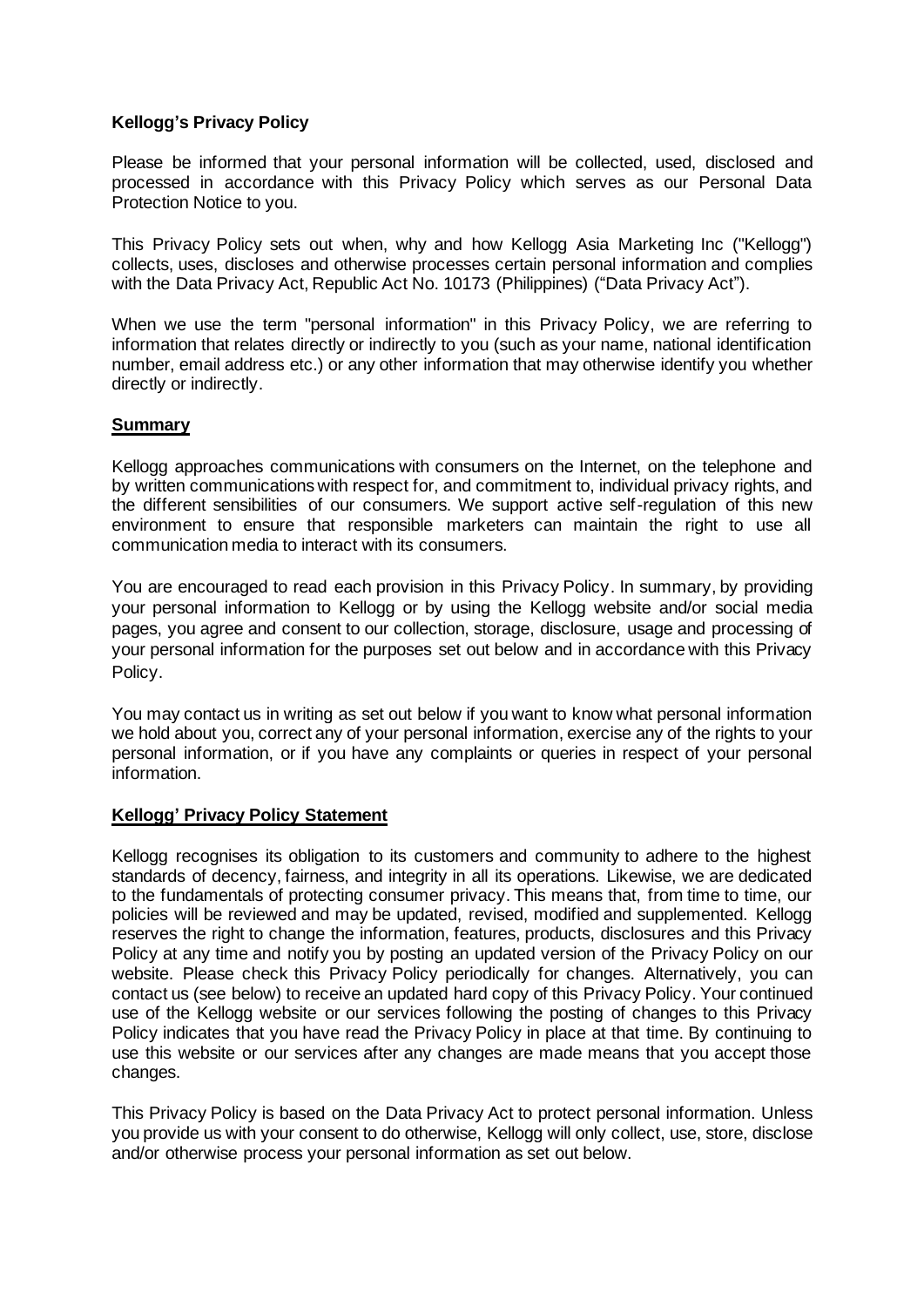## **Kellogg's Privacy Policy**

Please be informed that your personal information will be collected, used, disclosed and processed in accordance with this Privacy Policy which serves as our Personal Data Protection Notice to you.

This Privacy Policy sets out when, why and how Kellogg Asia Marketing Inc ("Kellogg") collects, uses, discloses and otherwise processes certain personal information and complies with the Data Privacy Act, Republic Act No. 10173 (Philippines) ("Data Privacy Act").

When we use the term "personal information" in this Privacy Policy, we are referring to information that relates directly or indirectly to you (such as your name, national identification number, email address etc.) or any other information that may otherwise identify you whether directly or indirectly.

#### **Summary**

Kellogg approaches communications with consumers on the Internet, on the telephone and by written communications with respect for, and commitment to, individual privacy rights, and the different sensibilities of our consumers. We support active self-regulation of this new environment to ensure that responsible marketers can maintain the right to use all communication media to interact with its consumers.

You are encouraged to read each provision in this Privacy Policy. In summary, by providing your personal information to Kellogg or by using the Kellogg website and/or social media pages, you agree and consent to our collection, storage, disclosure, usage and processing of your personal information for the purposes set out below and in accordance with this Privacy Policy.

You may contact us in writing as set out below if you want to know what personal information we hold about you, correct any of your personal information, exercise any of the rights to your personal information, or if you have any complaints or queries in respect of your personal information.

## **Kellogg' Privacy Policy Statement**

Kellogg recognises its obligation to its customers and community to adhere to the highest standards of decency, fairness, and integrity in all its operations. Likewise, we are dedicated to the fundamentals of protecting consumer privacy. This means that, from time to time, our policies will be reviewed and may be updated, revised, modified and supplemented. Kellogg reserves the right to change the information, features, products, disclosures and this Privacy Policy at any time and notify you by posting an updated version of the Privacy Policy on our website. Please check this Privacy Policy periodically for changes. Alternatively, you can contact us (see below) to receive an updated hard copy of this Privacy Policy. Your continued use of the Kellogg website or our services following the posting of changes to this Privacy Policy indicates that you have read the Privacy Policy in place at that time. By continuing to use this website or our services after any changes are made means that you accept those changes.

This Privacy Policy is based on the Data Privacy Act to protect personal information. Unless you provide us with your consent to do otherwise, Kellogg will only collect, use, store, disclose and/or otherwise process your personal information as set out below.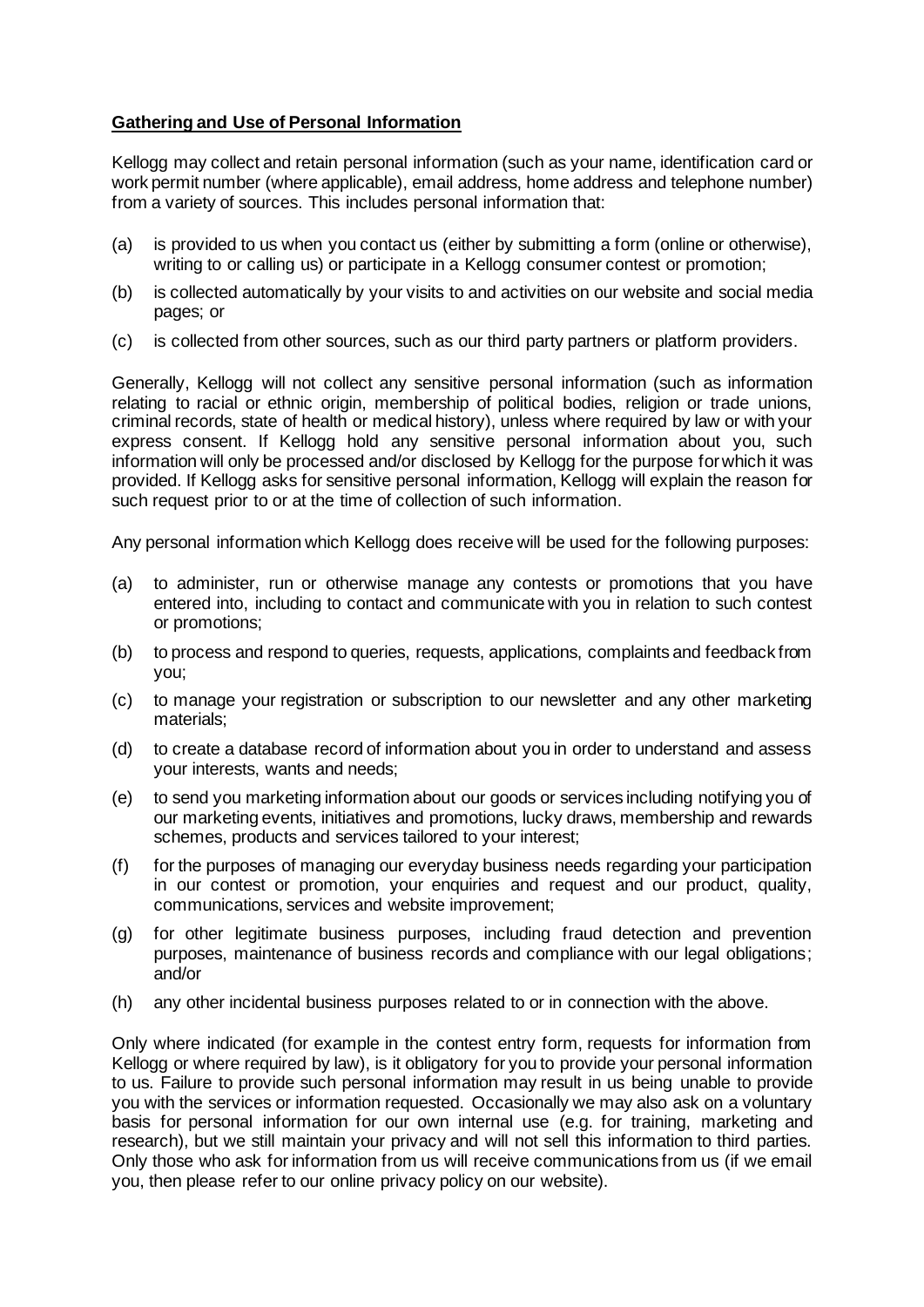# **Gathering and Use of Personal Information**

Kellogg may collect and retain personal information (such as your name, identification card or work permit number (where applicable), email address, home address and telephone number) from a variety of sources. This includes personal information that:

- (a) is provided to us when you contact us (either by submitting a form (online or otherwise), writing to or calling us) or participate in a Kellogg consumer contest or promotion;
- (b) is collected automatically by your visits to and activities on our website and social media pages; or
- (c) is collected from other sources, such as our third party partners or platform providers.

Generally, Kellogg will not collect any sensitive personal information (such as information relating to racial or ethnic origin, membership of political bodies, religion or trade unions, criminal records, state of health or medical history), unless where required by law or with your express consent. If Kellogg hold any sensitive personal information about you, such information will only be processed and/or disclosed by Kellogg for the purpose for which it was provided. If Kellogg asks for sensitive personal information, Kellogg will explain the reason for such request prior to or at the time of collection of such information.

Any personal information which Kellogg does receive will be used for the following purposes:

- (a) to administer, run or otherwise manage any contests or promotions that you have entered into, including to contact and communicate with you in relation to such contest or promotions;
- (b) to process and respond to queries, requests, applications, complaints and feedback from you;
- (c) to manage your registration or subscription to our newsletter and any other marketing materials;
- (d) to create a database record of information about you in order to understand and assess your interests, wants and needs;
- (e) to send you marketing information about our goods or services including notifying you of our marketing events, initiatives and promotions, lucky draws, membership and rewards schemes, products and services tailored to your interest;
- (f) for the purposes of managing our everyday business needs regarding your participation in our contest or promotion, your enquiries and request and our product, quality, communications, services and website improvement;
- (g) for other legitimate business purposes, including fraud detection and prevention purposes, maintenance of business records and compliance with our legal obligations; and/or
- (h) any other incidental business purposes related to or in connection with the above.

Only where indicated (for example in the contest entry form, requests for information from Kellogg or where required by law), is it obligatory for you to provide your personal information to us. Failure to provide such personal information may result in us being unable to provide you with the services or information requested. Occasionally we may also ask on a voluntary basis for personal information for our own internal use (e.g. for training, marketing and research), but we still maintain your privacy and will not sell this information to third parties. Only those who ask for information from us will receive communications from us (if we email you, then please refer to our online privacy policy on our website).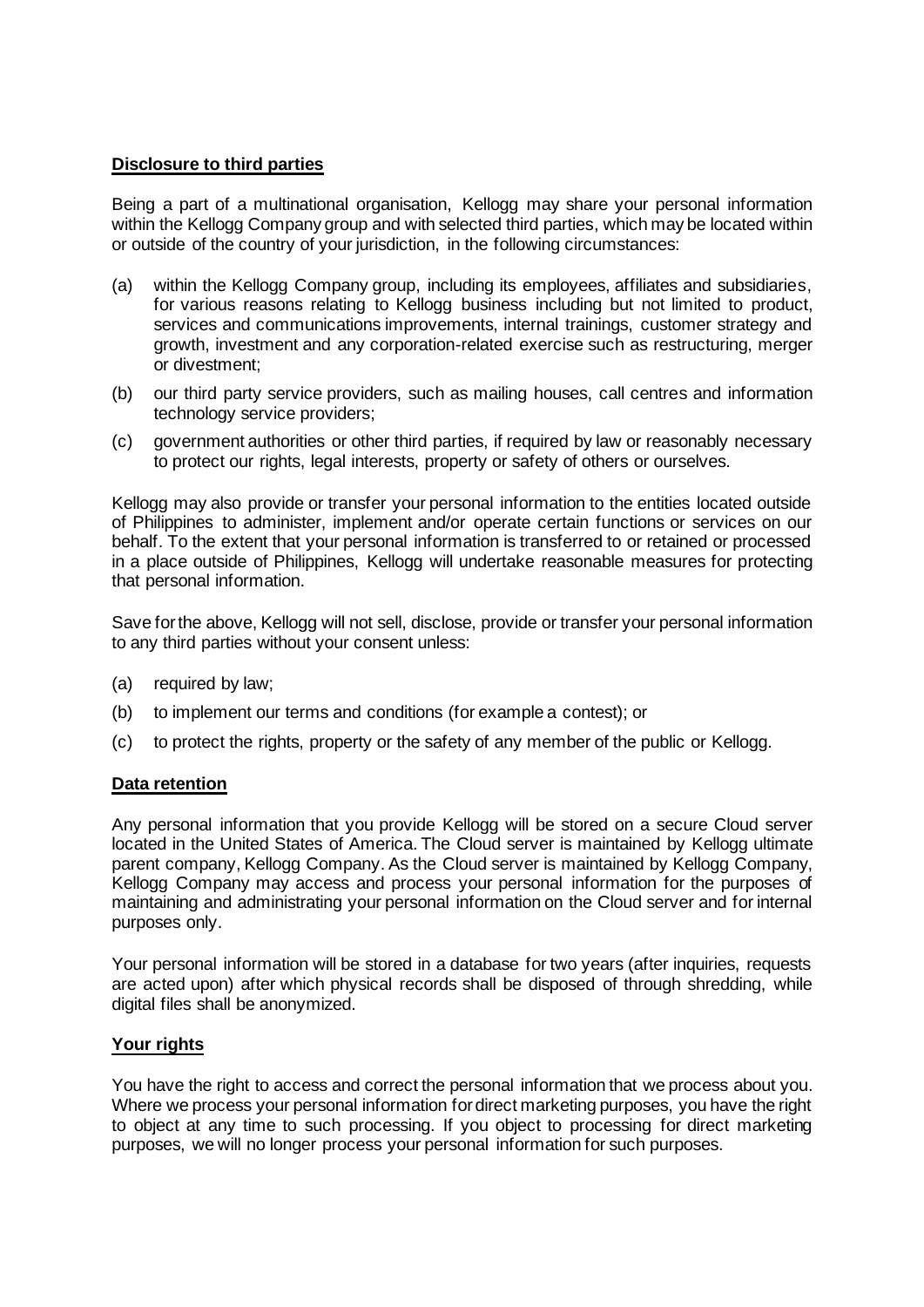## **Disclosure to third parties**

Being a part of a multinational organisation, Kellogg may share your personal information within the Kellogg Company group and with selected third parties, which may be located within or outside of the country of your jurisdiction, in the following circumstances:

- (a) within the Kellogg Company group, including its employees, affiliates and subsidiaries, for various reasons relating to Kellogg business including but not limited to product, services and communications improvements, internal trainings, customer strategy and growth, investment and any corporation-related exercise such as restructuring, merger or divestment;
- (b) our third party service providers, such as mailing houses, call centres and information technology service providers;
- (c) government authorities or other third parties, if required by law or reasonably necessary to protect our rights, legal interests, property or safety of others or ourselves.

Kellogg may also provide or transfer your personal information to the entities located outside of Philippines to administer, implement and/or operate certain functions or services on our behalf. To the extent that your personal information is transferred to or retained or processed in a place outside of Philippines, Kellogg will undertake reasonable measures for protecting that personal information.

Save for the above, Kellogg will not sell, disclose, provide or transfer your personal information to any third parties without your consent unless:

- (a) required by law;
- (b) to implement our terms and conditions (for example a contest); or
- (c) to protect the rights, property or the safety of any member of the public or Kellogg.

#### **Data retention**

Any personal information that you provide Kellogg will be stored on a secure Cloud server located in the United States of America. The Cloud server is maintained by Kellogg ultimate parent company, Kellogg Company. As the Cloud server is maintained by Kellogg Company, Kellogg Company may access and process your personal information for the purposes of maintaining and administrating your personal information on the Cloud server and for internal purposes only.

Your personal information will be stored in a database for two years (after inquiries, requests are acted upon) after which physical records shall be disposed of through shredding, while digital files shall be anonymized.

## **Your rights**

You have the right to access and correct the personal information that we process about you. Where we process your personal information for direct marketing purposes, you have the right to object at any time to such processing. If you object to processing for direct marketing purposes, we will no longer process your personal information for such purposes.